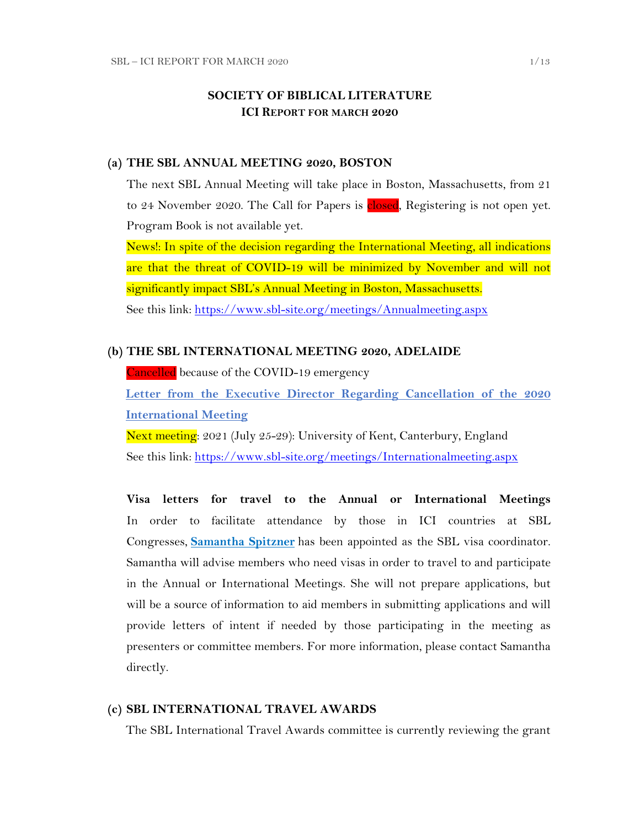## **SOCIETY OF BIBLICAL LITERATURE ICI REPORT FOR MARCH 2020**

#### **(a) THE SBL ANNUAL MEETING 2020, BOSTON**

The next SBL Annual Meeting will take place in Boston, Massachusetts, from 21 to 24 November 2020. The Call for Papers is closed, Registering is not open yet. Program Book is not available yet.

News!: In spite of the decision regarding the International Meeting, all indications are that the threat of COVID-19 will be minimized by November and will not significantly impact SBL's Annual Meeting in Boston, Massachusetts. See this link:<https://www.sbl-site.org/meetings/Annualmeeting.aspx>

#### **(b) THE SBL INTERNATIONAL MEETING 2020, ADELAIDE**

Cancelled because of the COVID-19 emergency

**[Letter from the Executive Director Regarding Cancellation of the 2020](https://www.sbl-site.org/assets/pdfs/2020_SBL_International_Meeting_Cancelled.pdf)  [International Meeting](https://www.sbl-site.org/assets/pdfs/2020_SBL_International_Meeting_Cancelled.pdf)**

Next meeting: 2021 (July 25-29): University of Kent, Canterbury, England See this link:<https://www.sbl-site.org/meetings/Internationalmeeting.aspx>

**Visa letters for travel to the Annual or International Meetings** In order to facilitate attendance by those in ICI countries at SBL Congresses, **[Samantha Spitzner](mailto:samantha.spitzner@sbl-site.org)** has been appointed as the SBL visa coordinator. Samantha will advise members who need visas in order to travel to and participate in the Annual or International Meetings. She will not prepare applications, but will be a source of information to aid members in submitting applications and will provide letters of intent if needed by those participating in the meeting as presenters or committee members. For more information, please contact Samantha directly.

#### **(c) SBL INTERNATIONAL TRAVEL AWARDS**

The SBL International Travel Awards committee is currently reviewing the grant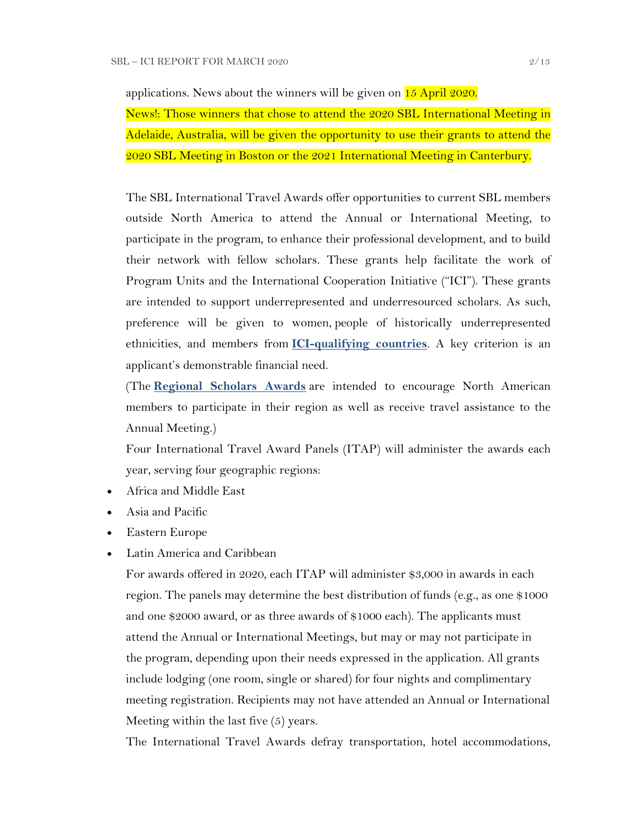applications. News about the winners will be given on 15 April 2020.

News!: Those winners that chose to attend the 2020 SBL International Meeting in Adelaide, Australia, will be given the opportunity to use their grants to attend the 2020 SBL Meeting in Boston or the 2021 International Meeting in Canterbury.

The SBL International Travel Awards offer opportunities to current SBL members outside North America to attend the Annual or International Meeting, to participate in the program, to enhance their professional development, and to build their network with fellow scholars. These grants help facilitate the work of Program Units and the International Cooperation Initiative ("ICI"). These grants are intended to support underrepresented and underresourced scholars. As such, preference will be given to women, people of historically underrepresented ethnicities, and members from **[ICI-qualifying countries](https://www.sbl-site.org/assets/pdfs/ICIcountries.pdf)**. A key criterion is an applicant's demonstrable financial need.

(The **[Regional Scholars Awards](https://www.sbl-site.org/meetings/regionalscholars.aspx)** are intended to encourage North American members to participate in their region as well as receive travel assistance to the Annual Meeting.)

Four International Travel Award Panels (ITAP) will administer the awards each year, serving four geographic regions:

- Africa and Middle East
- Asia and Pacific
- Eastern Europe
- Latin America and Caribbean

For awards offered in 2020, each ITAP will administer \$3,000 in awards in each region. The panels may determine the best distribution of funds (e.g., as one \$1000 and one \$2000 award, or as three awards of \$1000 each). The applicants must attend the Annual or International Meetings, but may or may not participate in the program, depending upon their needs expressed in the application. All grants include lodging (one room, single or shared) for four nights and complimentary meeting registration. Recipients may not have attended an Annual or International Meeting within the last five (5) years.

The International Travel Awards defray transportation, hotel accommodations,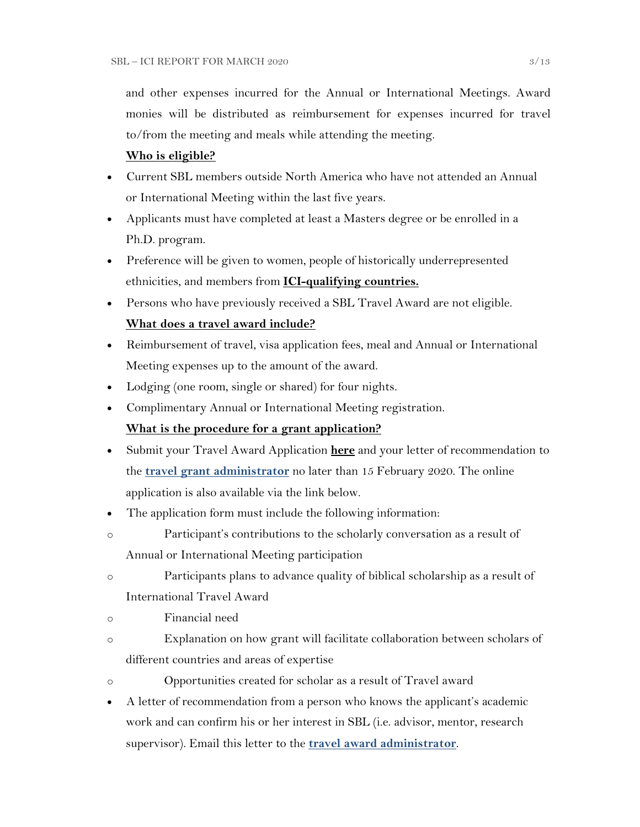and other expenses incurred for the Annual or International Meetings. Award monies will be distributed as reimbursement for expenses incurred for travel to/from the meeting and meals while attending the meeting.

## **Who is eligible?**

- Current SBL members outside North America who have not attended an Annual or International Meeting within the last five years.
- Applicants must have completed at least a Masters degree or be enrolled in a Ph.D. program.
- Preference will be given to women, people of historically underrepresented ethnicities, and members from **[ICI-qualifying countries.](https://www.sbl-site.org/assets/pdfs/ICIcountries.pdf)**
- Persons who have previously received a SBL Travel Award are not eligible. **What does a travel award include?**
- Reimbursement of travel, visa application fees, meal and Annual or International Meeting expenses up to the amount of the award.
- Lodging (one room, single or shared) for four nights.
- Complimentary Annual or International Meeting registration.

## **What is the procedure for a grant application?**

- Submit your Travel Award Application **[here](https://www.surveymonkey.com/r/MWZNX58)** and your letter of recommendation to the **[travel grant administrator](mailto:sbltravelgrant@sbl-site.org)** no later than 15 February 2020. The online application is also available via the link below.
- The application form must include the following information:
- o Participant's contributions to the scholarly conversation as a result of Annual or International Meeting participation
- o Participants plans to advance quality of biblical scholarship as a result of International Travel Award
- o Financial need
- o Explanation on how grant will facilitate collaboration between scholars of different countries and areas of expertise
- o Opportunities created for scholar as a result of Travel award
- A letter of recommendation from a person who knows the applicant's academic work and can confirm his or her interest in SBL (i.e. advisor, mentor, research supervisor). Email this letter to the **[travel award administrator](mailto:sbltravelgrant@sbl-site.org)**.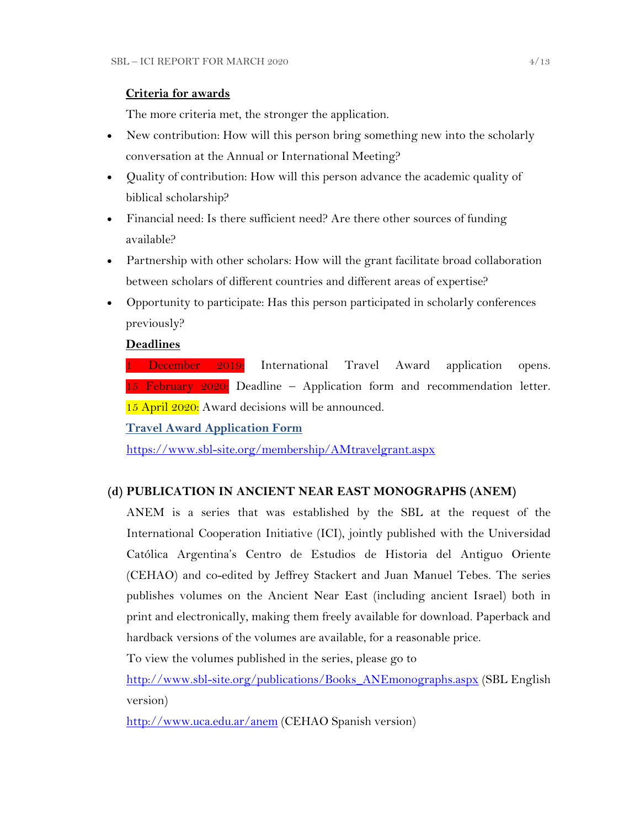## **Criteria for awards**

The more criteria met, the stronger the application.

- New contribution: How will this person bring something new into the scholarly conversation at the Annual or International Meeting?
- Quality of contribution: How will this person advance the academic quality of biblical scholarship?
- Financial need: Is there sufficient need? Are there other sources of funding available?
- Partnership with other scholars: How will the grant facilitate broad collaboration between scholars of different countries and different areas of expertise?
- Opportunity to participate: Has this person participated in scholarly conferences previously?

## **Deadlines**

**1 December 2019:** International Travel Award application opens. 15 February 2020: Deadline – Application form and recommendation letter. 15 April 2020: Award decisions will be announced.

**Travel [Award Application Form](https://www.surveymonkey.com/r/MWZNX58)**

<https://www.sbl-site.org/membership/AMtravelgrant.aspx>

## **(d) PUBLICATION IN [ANCIENT NEAR EAST MONOGRAPHS](http://www.sbl-site.org/publications/Books_ANEmonographs.aspx) (ANEM)**

ANEM is a series that was established by the SBL at the request of the International Cooperation Initiative (ICI), jointly published with the Universidad Católica Argentina's Centro de Estudios de Historia del Antiguo Oriente (CEHAO) and co-edited by Jeffrey Stackert and Juan Manuel Tebes. The series publishes volumes on the Ancient Near East (including ancient Israel) both in print and electronically, making them freely available for download. Paperback and hardback versions of the volumes are available, for a reasonable price.

To view the volumes published in the series, please go to

[http://www.sbl-site.org/publications/Books\\_ANEmonographs.aspx](http://www.sbl-site.org/publications/Books_ANEmonographs.aspx) (SBL English version)

<http://www.uca.edu.ar/anem> (CEHAO Spanish version)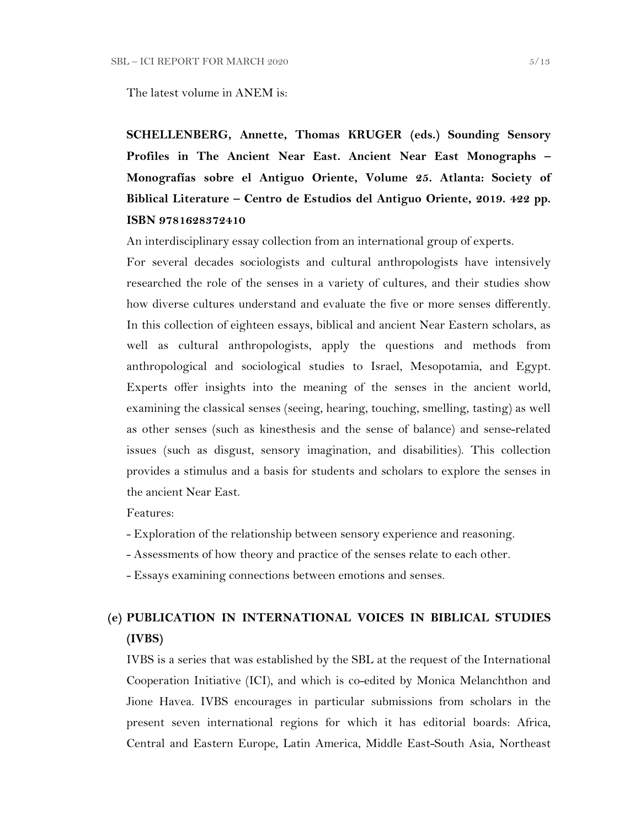The latest volume in ANEM is:

**SCHELLENBERG, Annette, Thomas KRUGER (eds.) Sounding Sensory Profiles in The Ancient Near East. Ancient Near East Monographs – Monografías sobre el Antiguo Oriente, Volume 25. Atlanta: Society of Biblical Literature – Centro de Estudios del Antiguo Oriente, 2019. 422 pp. ISBN 9781628372410**

An interdisciplinary essay collection from an international group of experts.

For several decades sociologists and cultural anthropologists have intensively researched the role of the senses in a variety of cultures, and their studies show how diverse cultures understand and evaluate the five or more senses differently. In this collection of eighteen essays, biblical and ancient Near Eastern scholars, as well as cultural anthropologists, apply the questions and methods from anthropological and sociological studies to Israel, Mesopotamia, and Egypt. Experts offer insights into the meaning of the senses in the ancient world, examining the classical senses (seeing, hearing, touching, smelling, tasting) as well as other senses (such as kinesthesis and the sense of balance) and sense-related issues (such as disgust, sensory imagination, and disabilities). This collection provides a stimulus and a basis for students and scholars to explore the senses in the ancient Near East.

Features:

- Exploration of the relationship between sensory experience and reasoning.
- Assessments of how theory and practice of the senses relate to each other.
- Essays examining connections between emotions and senses.

# **(e) PUBLICATION IN INTERNATIONAL VOICES IN BIBLICAL STUDIES (IVBS)**

IVBS is a series that was established by the SBL at the request of the International Cooperation Initiative (ICI), and which is co-edited by Monica Melanchthon and Jione Havea. IVBS encourages in particular submissions from scholars in the present seven international regions for which it has editorial boards: Africa, Central and Eastern Europe, Latin America, Middle East-South Asia, Northeast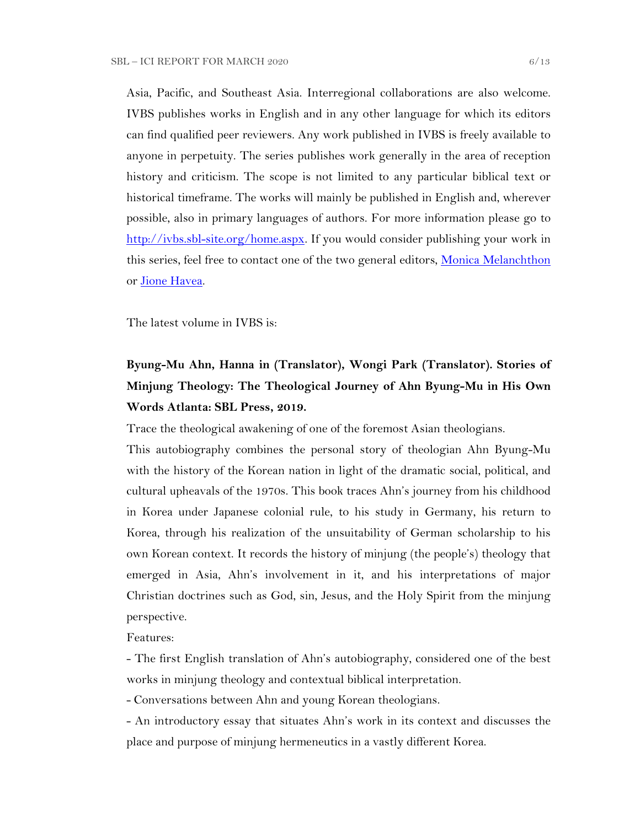Asia, Pacific, and Southeast Asia. Interregional collaborations are also welcome. IVBS publishes works in English and in any other language for which its editors can find qualified peer reviewers. Any work published in IVBS is freely available to anyone in perpetuity. The series publishes work generally in the area of reception history and criticism. The scope is not limited to any particular biblical text or historical timeframe. The works will mainly be published in English and, wherever possible, also in primary languages of authors. For more information please go to [http://ivbs.sbl-site.org/home.aspx.](http://ivbs.sbl-site.org/home.aspx) If you would consider publishing your work in this series, feel free to contact one of the two general editors, [Monica Melanchthon](mailto:ivbs2010@gmail.com) or [Jione Havea.](mailto:jioneh@nsw.uca.org.au)

The latest volume in IVBS is:

# **Byung-Mu Ahn, Hanna in (Translator), Wongi Park (Translator). Stories of Minjung Theology: The Theological Journey of Ahn Byung-Mu in His Own Words Atlanta: SBL Press, 2019.**

Trace the theological awakening of one of the foremost Asian theologians.

This autobiography combines the personal story of theologian Ahn Byung-Mu with the history of the Korean nation in light of the dramatic social, political, and cultural upheavals of the 1970s. This book traces Ahn's journey from his childhood in Korea under Japanese colonial rule, to his study in Germany, his return to Korea, through his realization of the unsuitability of German scholarship to his own Korean context. It records the history of minjung (the people's) theology that emerged in Asia, Ahn's involvement in it, and his interpretations of major Christian doctrines such as God, sin, Jesus, and the Holy Spirit from the minjung perspective.

Features:

- The first English translation of Ahn's autobiography, considered one of the best works in minjung theology and contextual biblical interpretation.

- Conversations between Ahn and young Korean theologians.

- An introductory essay that situates Ahn's work in its context and discusses the place and purpose of minjung hermeneutics in a vastly different Korea.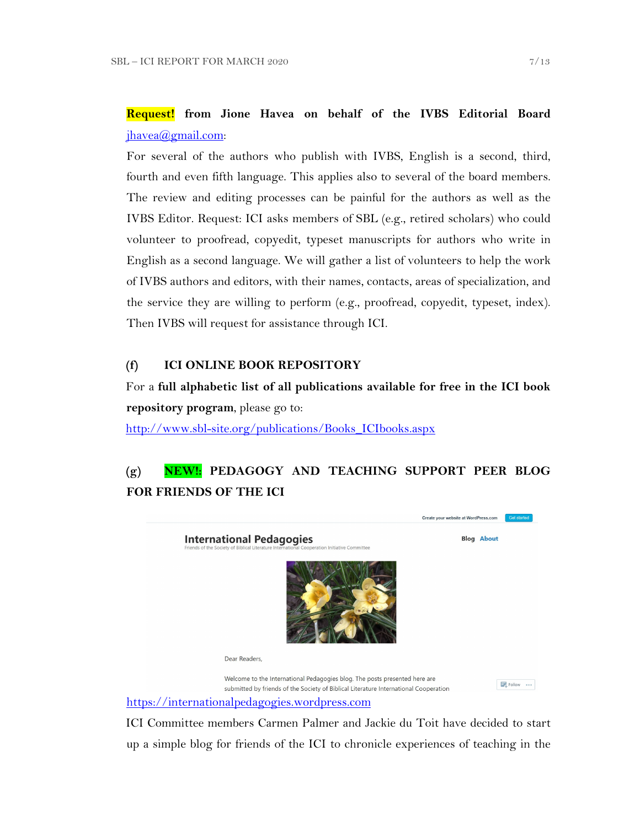## **Request! from Jione Havea on behalf of the IVBS Editorial Board** [jhavea@gmail.com:](mailto:jhavea@gmail.com)

For several of the authors who publish with IVBS, English is a second, third, fourth and even fifth language. This applies also to several of the board members. The review and editing processes can be painful for the authors as well as the IVBS Editor. Request: ICI asks members of SBL (e.g., retired scholars) who could volunteer to proofread, copyedit, typeset manuscripts for authors who write in English as a second language. We will gather a list of volunteers to help the work of IVBS authors and editors, with their names, contacts, areas of specialization, and the service they are willing to perform (e.g., proofread, copyedit, typeset, index). Then IVBS will request for assistance through ICI.

## **(f) ICI ONLINE BOOK REPOSITORY**

For a **full alphabetic list of all publications available for free in the ICI book repository program**, please go to:

[http://www.sbl-site.org/publications/Books\\_ICIbooks.aspx](http://www.sbl-site.org/publications/Books_ICIbooks.aspx)

## **(g) NEW!: PEDAGOGY AND TEACHING SUPPORT PEER BLOG FOR FRIENDS OF THE ICI**



ICI Committee members Carmen Palmer and Jackie du Toit have decided to start up a simple blog for friends of the ICI to chronicle experiences of teaching in the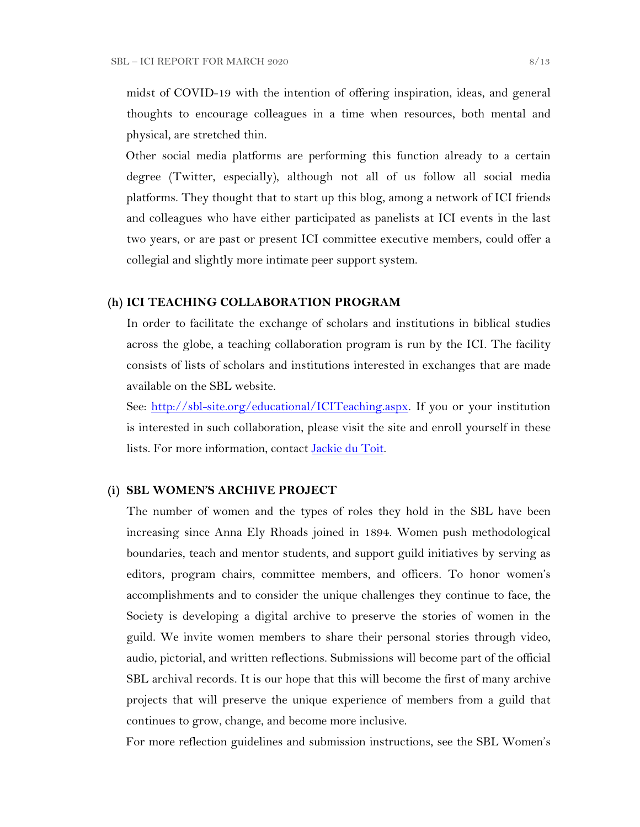midst of COVID-19 with the intention of offering inspiration, ideas, and general thoughts to encourage colleagues in a time when resources, both mental and physical, are stretched thin.

Other social media platforms are performing this function already to a certain degree (Twitter, especially), although not all of us follow all social media platforms. They thought that to start up this blog, among a network of ICI friends and colleagues who have either participated as panelists at ICI events in the last two years, or are past or present ICI committee executive members, could offer a collegial and slightly more intimate peer support system.

#### **(h) ICI TEACHING COLLABORATION PROGRAM**

In order to facilitate the exchange of scholars and institutions in biblical studies across the globe, a teaching collaboration program is run by the ICI. The facility consists of lists of scholars and institutions interested in exchanges that are made available on the SBL website.

See: [http://sbl-site.org/educational/ICITeaching.aspx.](http://sbl-site.org/educational/ICITeaching.aspx) If you or your institution is interested in such collaboration, please visit the site and enroll yourself in these lists. For more information, contact [Jackie du Toit.](mailto:dutoitjs@ufs.ac.za)

#### **(i) SBL WOMEN'S ARCHIVE PROJECT**

The number of women and the types of roles they hold in the SBL have been increasing since Anna Ely Rhoads joined in 1894. Women push methodological boundaries, teach and mentor students, and support guild initiatives by serving as editors, program chairs, committee members, and officers. To honor women's accomplishments and to consider the unique challenges they continue to face, the Society is developing a digital archive to preserve the stories of women in the guild. We invite women members to share their personal stories through video, audio, pictorial, and written reflections. Submissions will become part of the official SBL archival records. It is our hope that this will become the first of many archive projects that will preserve the unique experience of members from a guild that continues to grow, change, and become more inclusive.

For more reflection guidelines and submission instructions, see the SBL Women's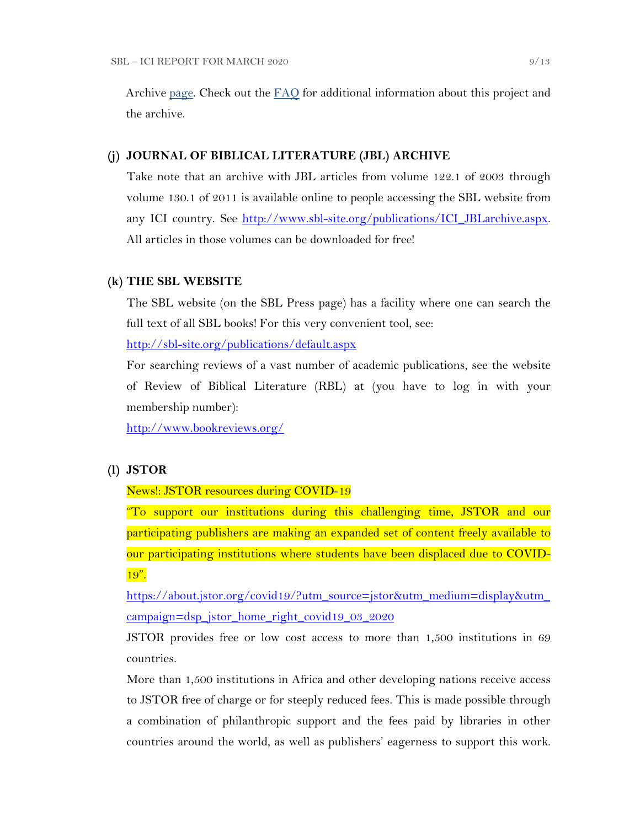Archive [page.](https://nam04.safelinks.protection.outlook.com/?url=http%3A%2F%2Fr20.rs6.net%2Ftn.jsp%3Ff%3D001UxB5SQIuVUKz9COuM3IsPWnWKqoK39z2VG4xqTm8KZlA_ZE17Z7Fa2PmCgTjMMxZJIpcAIjlvUF-irxd2rwYbEMLTrV0K_WM51IpZKkkhMDgd8_9aVPRw3rlId_KW8E944PO6OC3qczzRWSY7H-TuxvuErx13KKirGuJ38oWvop66nka2FiuLpzq0iT-us5e%26c%3DQ2tCZ6oCYeHLWgeasA7YFffpqmCkeEopn2jFFHww1HRSHdGZkow9Cg%3D%3D%26ch%3Dndma_uDxhxPhjRABmkw-gBQiRkfwAotBZK8Ps3z0wu4oDwHg9u9sLg%3D%3D&data=02%7C01%7CWALFORD_ND%40mercer.edu%7Cf513cd74ff8548bede3608d6b5da7f75%7C4fb34d2889b247109bcc30824d17fc30%7C0%7C0%7C636896347381808305&sdata=tiSsidRd6oL6K11UbD%2BSSPY7fRIjvdDnpsEU3BWCZRg%3D&reserved=0) Check out the [FAQ](http://r20.rs6.net/tn.jsp?f=001daD3lBrhj8ZbS8-GLHmkkfCXBAC1VygxiIGaWr04TSwAe6xpaQQvNJKWplVAEpG6TEU1_8KlnBObWx0oZC8x7WoLEp77_1CFtxX0KaAFLBjOBdYTd2f5qgWSoEYDRce9P__OLb1j9qY-AF3VQc1Y44LRzHcBpPqZU-EHsK1QZTJIoW4LFbKk7i8Ng-wzmNHDH6gAjZEh02zQc7Hju5X1UnsIvXFI2f0S&c=eIPPqaSd2_Vy4YClv5OeeUxZS30eJVZ-NpEqtmoT_RO1qkg45kBI_g==&ch=TNoNbOW4OE_N3IXbNrssVzBYer7u1PunhQWZuBYieCMVeDT7hGjUZQ==) for additional information about this project and the archive.

#### **(j) JOURNAL OF BIBLICAL LITERATURE (JBL) ARCHIVE**

Take note that an archive with JBL articles from volume 122.1 of 2003 through volume 130.1 of 2011 is available online to people accessing the SBL website from any ICI country. See [http://www.sbl-site.org/publications/ICI\\_JBLarchive.aspx.](http://www.sbl-site.org/publications/ICI_JBLarchive.aspx)  All articles in those volumes can be downloaded for free!

#### **(k) THE SBL WEBSITE**

The SBL website (on the SBL Press page) has a facility where one can search the full text of all SBL books! For this very convenient tool, see:

<http://sbl-site.org/publications/default.aspx>

For searching reviews of a vast number of academic publications, see the website of Review of Biblical Literature (RBL) at (you have to log in with your membership number):

<http://www.bookreviews.org/>

#### **(l) JSTOR**

#### News!: JSTOR resources during COVID-19

"To support our institutions during this challenging time, JSTOR and our participating publishers are making an expanded set of content freely available to our participating institutions where students have been displaced due to COVID-19".

[https://about.jstor.org/covid19/?utm\\_source=jstor&utm\\_medium=display&utm\\_](https://about.jstor.org/covid19/?utm_source=jstor&utm_medium=display&utm_campaign=dsp_jstor_home_right_covid19_03_2020) [campaign=dsp\\_jstor\\_home\\_right\\_covid19\\_03\\_2020](https://about.jstor.org/covid19/?utm_source=jstor&utm_medium=display&utm_campaign=dsp_jstor_home_right_covid19_03_2020)

JSTOR provides free or low cost access to more than 1,500 institutions in 69 countries.

More than 1,500 institutions in Africa and other developing nations receive access to JSTOR free of charge or for steeply reduced fees. This is made possible through a combination of philanthropic support and the fees paid by libraries in other countries around the world, as well as publishers' eagerness to support this work.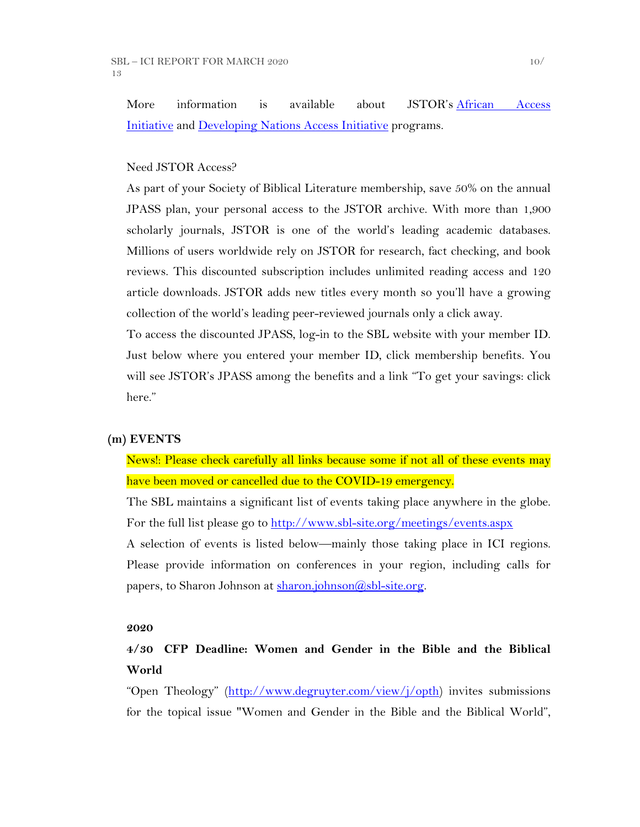More information is available about JSTOR's [African Access](http://about.jstor.org/libraries/african-access-initiative)  [Initiative](http://about.jstor.org/libraries/african-access-initiative) and [Developing Nations Access Initiative](http://about.jstor.org/libraries/developing-nations-access-initiative) programs.

## Need JSTOR Access?

As part of your Society of Biblical Literature membership, save 50% on the annual JPASS plan, your personal access to the JSTOR archive. With more than 1,900 scholarly journals, JSTOR is one of the world's leading academic databases. Millions of users worldwide rely on JSTOR for research, fact checking, and book reviews. This discounted subscription includes unlimited reading access and 120 article downloads. JSTOR adds new titles every month so you'll have a growing collection of the world's leading peer-reviewed journals only a click away.

To access the discounted JPASS, log-in to the SBL website with your member ID. Just below where you entered your member ID, click membership benefits. You will see JSTOR's JPASS among the benefits and a link "To get your savings: click here."

#### **(m) EVENTS**

News!: Please check carefully all links because some if not all of these events may have been moved or cancelled due to the COVID-19 emergency.

The SBL maintains a significant list of events taking place anywhere in the globe. For the full list please go to<http://www.sbl-site.org/meetings/events.aspx>

A selection of events is listed below—mainly those taking place in ICI regions. Please provide information on conferences in your region, including calls for papers, to Sharon Johnson at [sharon.johnson@sbl-site.org.](mailto:sharon.johnson@sbl-site.org)

#### **2020**

## **4/30 CFP Deadline: Women and Gender in the Bible and the Biblical World**

"Open Theology" [\(http://www.degruyter.com/view/j/opth\)](http://www.degruyter.com/view/j/opth) invites submissions for the topical issue "Women and Gender in the Bible and the Biblical World",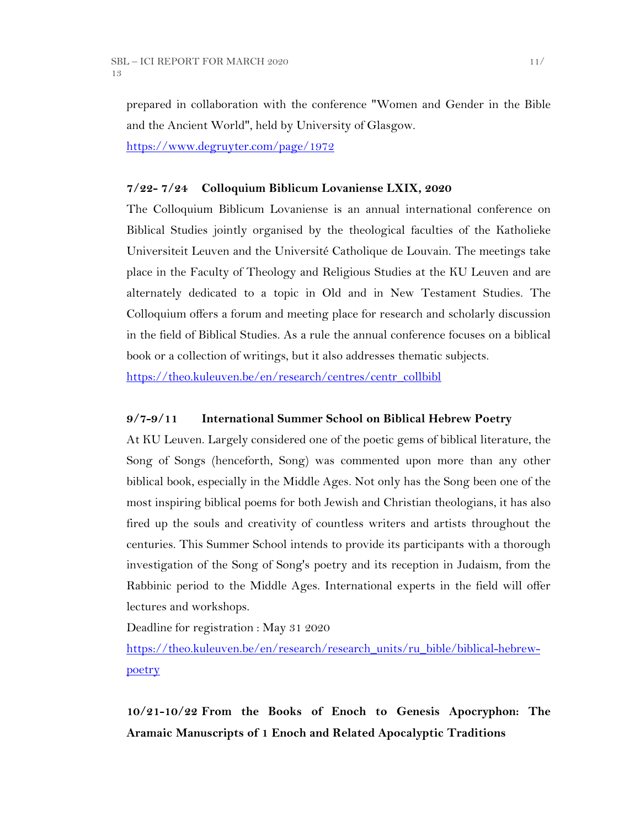prepared in collaboration with the conference "Women and Gender in the Bible and the Ancient World", held by University of Glasgow.

<https://www.degruyter.com/page/1972>

### **7/22- 7/24 Colloquium Biblicum Lovaniense LXIX, 2020**

The Colloquium Biblicum Lovaniense is an annual international conference on Biblical Studies jointly organised by the theological faculties of the Katholieke Universiteit Leuven and the Université Catholique de Louvain. The meetings take place in the Faculty of Theology and Religious Studies at the KU Leuven and are alternately dedicated to a topic in Old and in New Testament Studies. The Colloquium offers a forum and meeting place for research and scholarly discussion in the field of Biblical Studies. As a rule the annual conference focuses on a biblical book or a collection of writings, but it also addresses thematic subjects.

[https://theo.kuleuven.be/en/research/centres/centr\\_collbibl](https://theo.kuleuven.be/en/research/centres/centr_collbibl)

### **9/7-9/11 International Summer School on Biblical Hebrew Poetry**

At KU Leuven. Largely considered one of the poetic gems of biblical literature, the Song of Songs (henceforth, Song) was commented upon more than any other biblical book, especially in the Middle Ages. Not only has the Song been one of the most inspiring biblical poems for both Jewish and Christian theologians, it has also fired up the souls and creativity of countless writers and artists throughout the centuries. This Summer School intends to provide its participants with a thorough investigation of the Song of Song's poetry and its reception in Judaism, from the Rabbinic period to the Middle Ages. International experts in the field will offer lectures and workshops.

Deadline for registration : May 31 2020

[https://theo.kuleuven.be/en/research/research\\_units/ru\\_bible/biblical-hebrew](https://theo.kuleuven.be/en/research/research_units/ru_bible/biblical-hebrew-poetry)[poetry](https://theo.kuleuven.be/en/research/research_units/ru_bible/biblical-hebrew-poetry)

**10/21-10/22 From the Books of Enoch to Genesis Apocryphon: The Aramaic Manuscripts of 1 Enoch and Related Apocalyptic Traditions**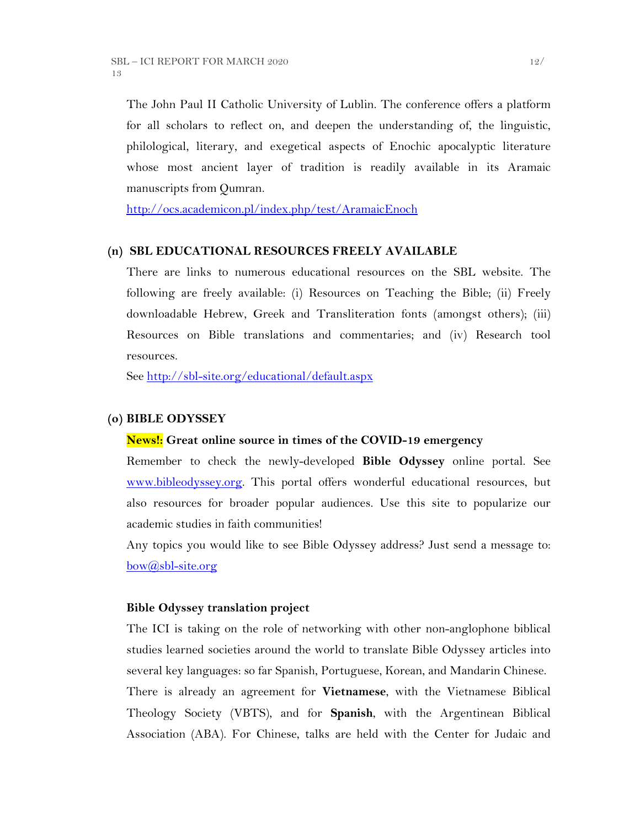The John Paul II Catholic University of Lublin. The conference offers a platform for all scholars to reflect on, and deepen the understanding of, the linguistic, philological, literary, and exegetical aspects of Enochic apocalyptic literature whose most ancient layer of tradition is readily available in its Aramaic manuscripts from Qumran.

<http://ocs.academicon.pl/index.php/test/AramaicEnoch>

#### **(n) SBL EDUCATIONAL RESOURCES FREELY AVAILABLE**

There are links to numerous educational resources on the SBL website. The following are freely available: (i) Resources on Teaching the Bible; (ii) Freely downloadable Hebrew, Greek and Transliteration fonts (amongst others); (iii) Resources on Bible translations and commentaries; and (iv) Research tool resources.

See<http://sbl-site.org/educational/default.aspx>

## **(o) BIBLE ODYSSEY**

#### **News!: Great online source in times of the COVID-19 emergency**

Remember to check the newly-developed **Bible Odyssey** online portal. See [www.bibleodyssey.org.](http://www.bibleodyssey.org/) This portal offers wonderful educational resources, but also resources for broader popular audiences. Use this site to popularize our academic studies in faith communities!

Any topics you would like to see Bible Odyssey address? Just send a message to:  $bow(*a*)$ sbl-site.org

### **Bible Odyssey translation project**

The ICI is taking on the role of networking with other non-anglophone biblical studies learned societies around the world to translate Bible Odyssey articles into several key languages: so far Spanish, Portuguese, Korean, and Mandarin Chinese. There is already an agreement for **Vietnamese**, with the Vietnamese Biblical Theology Society (VBTS), and for **Spanish**, with the Argentinean Biblical Association (ABA). For Chinese, talks are held with the Center for Judaic and